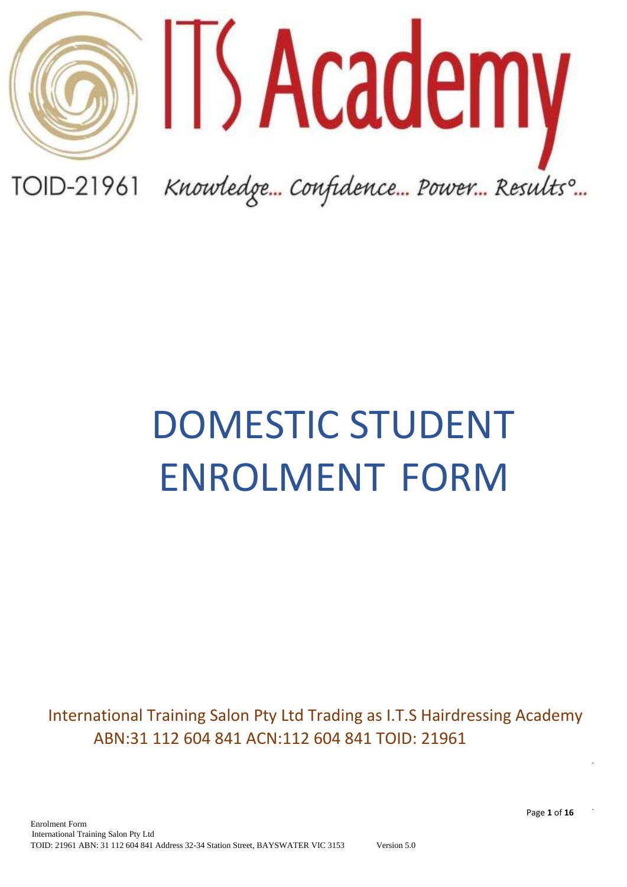

# DOMESTIC STUDENT ENROLMENT FORM

 International Training Salon Pty Ltd Trading as I.T.S Hairdressing Academy ABN:31 112 604 841 ACN:112 604 841 TOID: 21961

Page **1** of **16**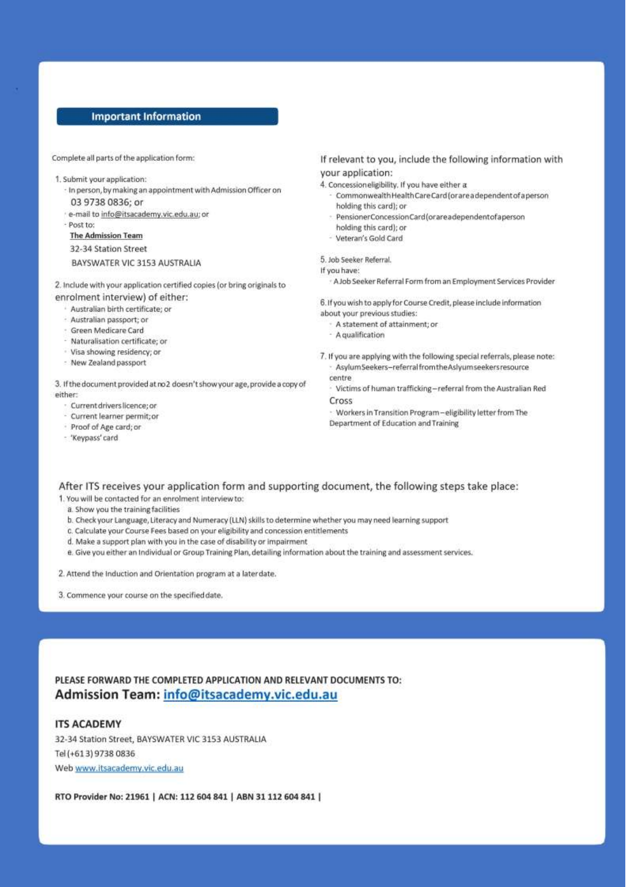#### **Important Information**

Complete all parts of the application form:

- 1. Submit your application:
	- In person, by making an appointment with Admission Officer on 03 9738 0836; or
	- · e-mail to info@itsacademy.vic.edu.au; or
	- Post to:
	- **The Admission Team**
	- 32-34 Station Street
	- BAYSWATER VIC 3153 AUSTRALIA
- 2. Include with your application certified copies (or bring originals to enrolment interview) of either:
	- · Australian birth certificate: or
	- Australian passport; or
	- · Green Medicare Card
	- Naturalisation certificate: or
	- · Visa showing residency; or
	- New Zealand passport

3. If the document provided at no2 doesn't show your age, provide a copy of either

- · Current drivers licence; or
- Current learner permit; or
- Proof of Age card; or
- 'Keypass' card

#### If relevant to you, include the following information with your application:

4. Concession eligibility. If you have either a

- Commonwealth Health Care Card (or are a dependent of a person holding this card); or
- · PensionerConcessionCard(orareadependentofaperson
- holding this card); or
- Veteran's Gold Card

#### 5. Job Seeker Referral.

If you have:

A Job Seeker Referral Form from an Employment Services Provider

6. If you wish to apply for Course Credit, please include information about your previous studies:

- A statement of attainment: or
- A qualification
- 7. If you are applying with the following special referrals, please note: Asylum Seekers-referral from the Aslyum seekers resource centre

Victims of human trafficking-referral from the Australian Red Cross

· Workers in Transition Program-eligibility letter from The Department of Education and Training

#### After ITS receives your application form and supporting document, the following steps take place:

1. You will be contacted for an enrolment interview to:

- a. Show you the training facilities
- b. Check your Language, Literacy and Numeracy (LLN) skills to determine whether you may need learning support
- c. Calculate your Course Fees based on your eligibility and concession entitlements
- d. Make a support plan with you in the case of disability or impairment
- e. Give you either an Individual or Group Training Plan, detailing information about the training and assessment services.
- 2. Attend the Induction and Orientation program at a laterdate.
- 3. Commence your course on the specified date.

PLEASE FORWARD THE COMPLETED APPLICATION AND RELEVANT DOCUMENTS TO: Admission Team: info@itsacademy.vic.edu.au

TOID: 21961 ABN: 31 112 604 841 Address 32-34 Station Street, BAYSWATER VIC 3153 Version 5.0

#### **ITS ACADEMY**

International Training Salon Pty Ltd

Enrolment Form

32-34 Station Street, BAYSWATER VIC 3153 AUSTRALIA Tel (+613) 9738 0836 Web www.itsacademy.vic.edu.au

RTO Provider No: 21961 | ACN: 112 604 841 | ABN 31 112 604 841 |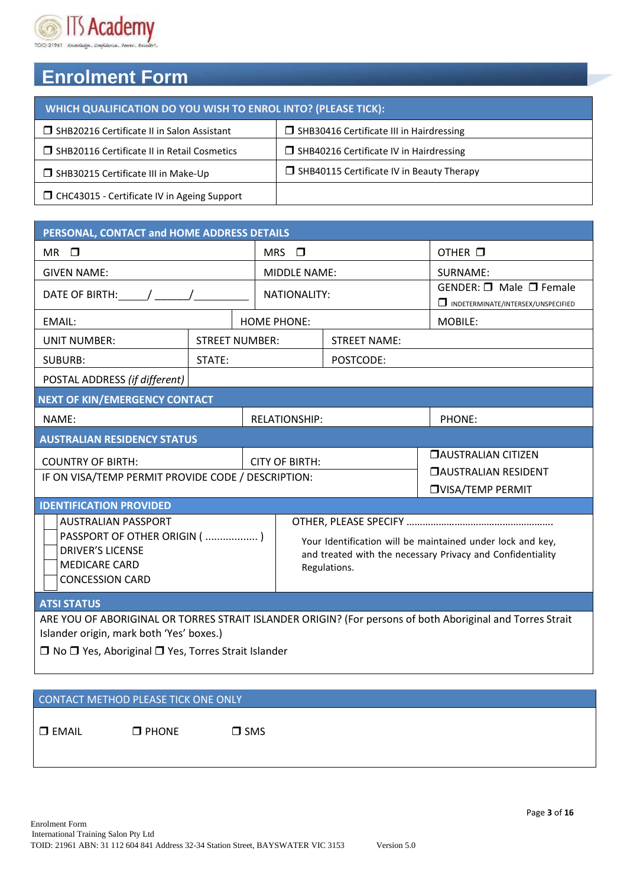

## **Enrolment Form**

| WHICH QUALIFICATION DO YOU WISH TO ENROL INTO? (PLEASE TICK): |                                                  |  |  |  |  |  |
|---------------------------------------------------------------|--------------------------------------------------|--|--|--|--|--|
| □ SHB20216 Certificate II in Salon Assistant                  | $\Box$ SHB30416 Certificate III in Hairdressing  |  |  |  |  |  |
| □ SHB20116 Certificate II in Retail Cosmetics                 | $\Box$ SHB40216 Certificate IV in Hairdressing   |  |  |  |  |  |
| SHB30215 Certificate III in Make-Up                           | $\Box$ SHB40115 Certificate IV in Beauty Therapy |  |  |  |  |  |
| $\Box$ CHC43015 - Certificate IV in Ageing Support            |                                                  |  |  |  |  |  |

| PERSONAL, CONTACT and HOME ADDRESS DETAILS                                                                                                                                                                    |        |  |                                                                                                                                          |                     |                                                                                       |  |  |
|---------------------------------------------------------------------------------------------------------------------------------------------------------------------------------------------------------------|--------|--|------------------------------------------------------------------------------------------------------------------------------------------|---------------------|---------------------------------------------------------------------------------------|--|--|
| $MR$ $\square$                                                                                                                                                                                                |        |  | MRS $\Box$                                                                                                                               |                     | OTHER O                                                                               |  |  |
| <b>GIVEN NAME:</b>                                                                                                                                                                                            |        |  | <b>MIDDLE NAME:</b>                                                                                                                      |                     | SURNAME:                                                                              |  |  |
| DATE OF BIRTH: / /                                                                                                                                                                                            |        |  | NATIONALITY:                                                                                                                             |                     | <b>GENDER:</b> $\Box$ Male $\Box$ Female<br>INDETERMINATE/INTERSEX/UNSPECIFIED        |  |  |
| EMAIL:                                                                                                                                                                                                        |        |  | <b>HOME PHONE:</b>                                                                                                                       |                     | MOBILE:                                                                               |  |  |
| <b>STREET NUMBER:</b><br><b>UNIT NUMBER:</b>                                                                                                                                                                  |        |  |                                                                                                                                          | <b>STREET NAME:</b> |                                                                                       |  |  |
| <b>SUBURB:</b>                                                                                                                                                                                                | STATE: |  |                                                                                                                                          | POSTCODE:           |                                                                                       |  |  |
| POSTAL ADDRESS (if different)                                                                                                                                                                                 |        |  |                                                                                                                                          |                     |                                                                                       |  |  |
| <b>NEXT OF KIN/EMERGENCY CONTACT</b>                                                                                                                                                                          |        |  |                                                                                                                                          |                     |                                                                                       |  |  |
| NAME:                                                                                                                                                                                                         |        |  | <b>RELATIONSHIP:</b>                                                                                                                     |                     | PHONE:                                                                                |  |  |
| <b>AUSTRALIAN RESIDENCY STATUS</b>                                                                                                                                                                            |        |  |                                                                                                                                          |                     |                                                                                       |  |  |
| <b>COUNTRY OF BIRTH:</b><br>IF ON VISA/TEMP PERMIT PROVIDE CODE / DESCRIPTION:                                                                                                                                |        |  | <b>CITY OF BIRTH:</b>                                                                                                                    |                     | <b>DAUSTRALIAN CITIZEN</b><br><b>CAUSTRALIAN RESIDENT</b><br><b>OVISA/TEMP PERMIT</b> |  |  |
| <b>IDENTIFICATION PROVIDED</b>                                                                                                                                                                                |        |  |                                                                                                                                          |                     |                                                                                       |  |  |
| <b>AUSTRALIAN PASSPORT</b><br>PASSPORT OF OTHER ORIGIN ( )<br><b>DRIVER'S LICENSE</b><br><b>MEDICARE CARD</b><br><b>CONCESSION CARD</b>                                                                       |        |  | Your Identification will be maintained under lock and key,<br>and treated with the necessary Privacy and Confidentiality<br>Regulations. |                     |                                                                                       |  |  |
| <b>ATSI STATUS</b>                                                                                                                                                                                            |        |  |                                                                                                                                          |                     |                                                                                       |  |  |
| ARE YOU OF ABORIGINAL OR TORRES STRAIT ISLANDER ORIGIN? (For persons of both Aboriginal and Torres Strait<br>Islander origin, mark both 'Yes' boxes.)<br>□ No □ Yes, Aboriginal □ Yes, Torres Strait Islander |        |  |                                                                                                                                          |                     |                                                                                       |  |  |

## CONTACT METHOD PLEASE TICK ONE ONLY

 $\square$  EMAIL  $\square$  PHONE  $\square$  SMS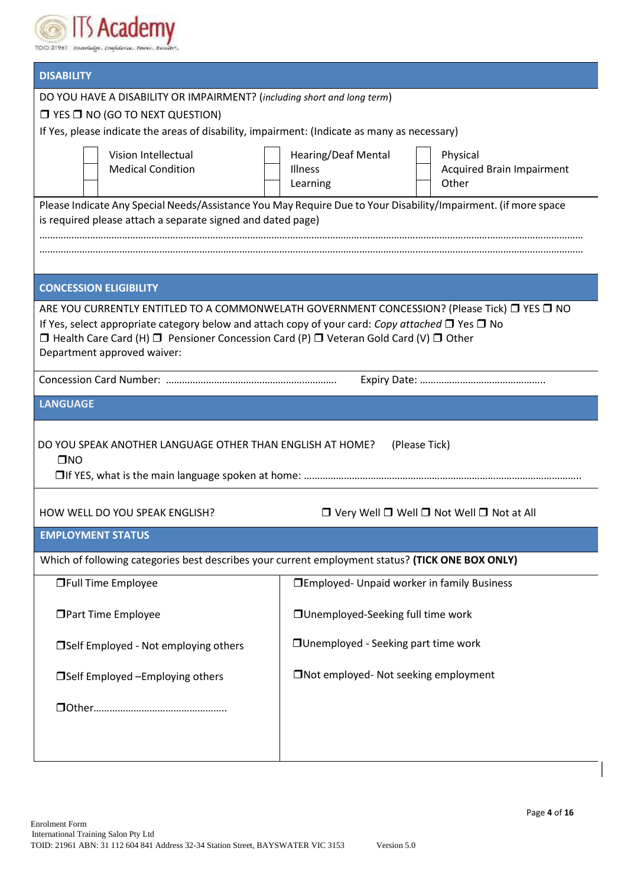

| <b>DISABILITY</b>                                                                                                                                                                                          |                                                                                                                |  |  |  |  |  |  |
|------------------------------------------------------------------------------------------------------------------------------------------------------------------------------------------------------------|----------------------------------------------------------------------------------------------------------------|--|--|--|--|--|--|
| DO YOU HAVE A DISABILITY OR IMPAIRMENT? (including short and long term)                                                                                                                                    |                                                                                                                |  |  |  |  |  |  |
| $\Box$ YES $\Box$ NO (GO TO NEXT QUESTION)<br>If Yes, please indicate the areas of disability, impairment: (Indicate as many as necessary)                                                                 |                                                                                                                |  |  |  |  |  |  |
|                                                                                                                                                                                                            |                                                                                                                |  |  |  |  |  |  |
| Vision Intellectual<br><b>Medical Condition</b>                                                                                                                                                            | <b>Hearing/Deaf Mental</b><br>Physical<br><b>Illness</b><br><b>Acquired Brain Impairment</b>                   |  |  |  |  |  |  |
|                                                                                                                                                                                                            | Other<br>Learning                                                                                              |  |  |  |  |  |  |
|                                                                                                                                                                                                            | Please Indicate Any Special Needs/Assistance You May Require Due to Your Disability/Impairment. (if more space |  |  |  |  |  |  |
| is required please attach a separate signed and dated page)                                                                                                                                                |                                                                                                                |  |  |  |  |  |  |
|                                                                                                                                                                                                            |                                                                                                                |  |  |  |  |  |  |
|                                                                                                                                                                                                            |                                                                                                                |  |  |  |  |  |  |
| <b>CONCESSION ELIGIBILITY</b>                                                                                                                                                                              |                                                                                                                |  |  |  |  |  |  |
| ARE YOU CURRENTLY ENTITLED TO A COMMONWELATH GOVERNMENT CONCESSION? (Please Tick) □ YES □ NO<br>If Yes, select appropriate category below and attach copy of your card: Copy attached $\Box$ Yes $\Box$ No |                                                                                                                |  |  |  |  |  |  |
| $\Box$ Health Care Card (H) $\Box$ Pensioner Concession Card (P) $\Box$ Veteran Gold Card (V) $\Box$ Other                                                                                                 |                                                                                                                |  |  |  |  |  |  |
| Department approved waiver:                                                                                                                                                                                |                                                                                                                |  |  |  |  |  |  |
|                                                                                                                                                                                                            |                                                                                                                |  |  |  |  |  |  |
| <b>LANGUAGE</b>                                                                                                                                                                                            |                                                                                                                |  |  |  |  |  |  |
|                                                                                                                                                                                                            |                                                                                                                |  |  |  |  |  |  |
| DO YOU SPEAK ANOTHER LANGUAGE OTHER THAN ENGLISH AT HOME?<br>$\square$ NO                                                                                                                                  | (Please Tick)                                                                                                  |  |  |  |  |  |  |
|                                                                                                                                                                                                            |                                                                                                                |  |  |  |  |  |  |
|                                                                                                                                                                                                            |                                                                                                                |  |  |  |  |  |  |
| HOW WELL DO YOU SPEAK ENGLISH?                                                                                                                                                                             | $\Box$ Very Well $\Box$ Well $\Box$ Not Well $\Box$ Not at All                                                 |  |  |  |  |  |  |
| <b>EMPLOYMENT STATUS</b>                                                                                                                                                                                   |                                                                                                                |  |  |  |  |  |  |
| Which of following categories best describes your current employment status? (TICK ONE BOX ONLY)                                                                                                           |                                                                                                                |  |  |  |  |  |  |
| <b>OFull Time Employee</b>                                                                                                                                                                                 | □ Employed- Unpaid worker in family Business                                                                   |  |  |  |  |  |  |
| <b>OPart Time Employee</b>                                                                                                                                                                                 | □ Unemployed-Seeking full time work                                                                            |  |  |  |  |  |  |
| □ Unemployed - Seeking part time work<br>□Self Employed - Not employing others                                                                                                                             |                                                                                                                |  |  |  |  |  |  |
| □Self Employed - Employing others                                                                                                                                                                          | □Not employed- Not seeking employment                                                                          |  |  |  |  |  |  |
|                                                                                                                                                                                                            |                                                                                                                |  |  |  |  |  |  |
|                                                                                                                                                                                                            |                                                                                                                |  |  |  |  |  |  |
|                                                                                                                                                                                                            |                                                                                                                |  |  |  |  |  |  |
|                                                                                                                                                                                                            |                                                                                                                |  |  |  |  |  |  |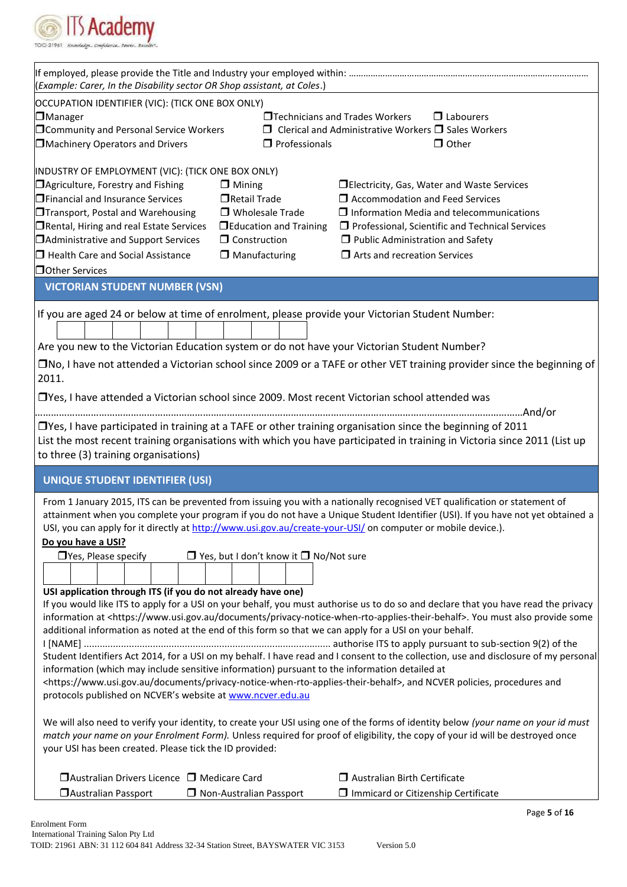

| (Example: Carer, In the Disability sector OR Shop assistant, at Coles.)<br>□Technicians and Trades Workers<br>$\Box$ Labourers<br>$\Box$ Clerical and Administrative Workers $\Box$ Sales Workers<br>Machinery Operators and Drivers<br>$\Box$ Other<br>$\Box$ Professionals<br>$\Box$ Mining<br>□ Electricity, Gas, Water and Waste Services<br>Retail Trade<br>$\Box$ Accommodation and Feed Services |
|---------------------------------------------------------------------------------------------------------------------------------------------------------------------------------------------------------------------------------------------------------------------------------------------------------------------------------------------------------------------------------------------------------|
| OCCUPATION IDENTIFIER (VIC): (TICK ONE BOX ONLY)<br><b>D</b> Manager<br>Community and Personal Service Workers<br>INDUSTRY OF EMPLOYMENT (VIC): (TICK ONE BOX ONLY)<br>□ Agriculture, Forestry and Fishing<br><b>ID</b> Financial and Insurance Services                                                                                                                                                |
|                                                                                                                                                                                                                                                                                                                                                                                                         |
|                                                                                                                                                                                                                                                                                                                                                                                                         |
|                                                                                                                                                                                                                                                                                                                                                                                                         |
|                                                                                                                                                                                                                                                                                                                                                                                                         |
|                                                                                                                                                                                                                                                                                                                                                                                                         |
|                                                                                                                                                                                                                                                                                                                                                                                                         |
|                                                                                                                                                                                                                                                                                                                                                                                                         |
|                                                                                                                                                                                                                                                                                                                                                                                                         |
| □ Wholesale Trade<br>$\Box$ Information Media and telecommunications<br>□Transport, Postal and Warehousing                                                                                                                                                                                                                                                                                              |
| □ Rental, Hiring and real Estate Services<br>$\Box$ Education and Training<br>$\Box$ Professional, Scientific and Technical Services                                                                                                                                                                                                                                                                    |
| $\Box$ Construction<br>Administrative and Support Services<br>$\Box$ Public Administration and Safety                                                                                                                                                                                                                                                                                                   |
| $\Box$ Health Care and Social Assistance<br>$\Box$ Manufacturing<br>$\Box$ Arts and recreation Services                                                                                                                                                                                                                                                                                                 |
| Other Services                                                                                                                                                                                                                                                                                                                                                                                          |
| <b>VICTORIAN STUDENT NUMBER (VSN)</b>                                                                                                                                                                                                                                                                                                                                                                   |
| If you are aged 24 or below at time of enrolment, please provide your Victorian Student Number:                                                                                                                                                                                                                                                                                                         |
| Are you new to the Victorian Education system or do not have your Victorian Student Number?                                                                                                                                                                                                                                                                                                             |
| □No, I have not attended a Victorian school since 2009 or a TAFE or other VET training provider since the beginning of                                                                                                                                                                                                                                                                                  |
| 2011.                                                                                                                                                                                                                                                                                                                                                                                                   |
| □Yes, I have attended a Victorian school since 2009. Most recent Victorian school attended was                                                                                                                                                                                                                                                                                                          |
|                                                                                                                                                                                                                                                                                                                                                                                                         |
| $\Box$ Yes, I have participated in training at a TAFE or other training organisation since the beginning of 2011                                                                                                                                                                                                                                                                                        |
| List the most recent training organisations with which you have participated in training in Victoria since 2011 (List up                                                                                                                                                                                                                                                                                |
| to three (3) training organisations)                                                                                                                                                                                                                                                                                                                                                                    |
|                                                                                                                                                                                                                                                                                                                                                                                                         |
| <b>UNIQUE STUDENT IDENTIFIER (USI)</b>                                                                                                                                                                                                                                                                                                                                                                  |
| From 1 January 2015, ITS can be prevented from issuing you with a nationally recognised VET qualification or statement of<br>attainment when you complete your program if you do not have a Unique Student Identifier (USI). If you have not yet obtained a<br>USI, you can apply for it directly at http://www.usi.gov.au/create-your-USI/ on computer or mobile device.).                             |
| Do you have a USI?                                                                                                                                                                                                                                                                                                                                                                                      |
| $\Box$ Yes, but I don't know it $\Box$ No/Not sure<br>$\Box$ Yes, Please specify                                                                                                                                                                                                                                                                                                                        |
|                                                                                                                                                                                                                                                                                                                                                                                                         |
| USI application through ITS (if you do not already have one)                                                                                                                                                                                                                                                                                                                                            |
| If you would like ITS to apply for a USI on your behalf, you must authorise us to do so and declare that you have read the privacy                                                                                                                                                                                                                                                                      |
| information at <https: documents="" privacy-notice-when-rto-applies-their-behalf="" www.usi.gov.au="">. You must also provide some</https:>                                                                                                                                                                                                                                                             |
| additional information as noted at the end of this form so that we can apply for a USI on your behalf.                                                                                                                                                                                                                                                                                                  |
|                                                                                                                                                                                                                                                                                                                                                                                                         |
| Student Identifiers Act 2014, for a USI on my behalf. I have read and I consent to the collection, use and disclosure of my personal<br>information (which may include sensitive information) pursuant to the information detailed at                                                                                                                                                                   |
| <https: documents="" privacy-notice-when-rto-applies-their-behalf="" www.usi.gov.au="">, and NCVER policies, procedures and</https:>                                                                                                                                                                                                                                                                    |
| protocols published on NCVER's website at www.ncver.edu.au                                                                                                                                                                                                                                                                                                                                              |
|                                                                                                                                                                                                                                                                                                                                                                                                         |
| We will also need to verify your identity, to create your USI using one of the forms of identity below (your name on your id must<br>match your name on your Enrolment Form). Unless required for proof of eligibility, the copy of your id will be destroyed once                                                                                                                                      |
| your USI has been created. Please tick the ID provided:                                                                                                                                                                                                                                                                                                                                                 |
|                                                                                                                                                                                                                                                                                                                                                                                                         |
| □ Australian Drivers Licence □ Medicare Card<br>$\Box$ Australian Birth Certificate                                                                                                                                                                                                                                                                                                                     |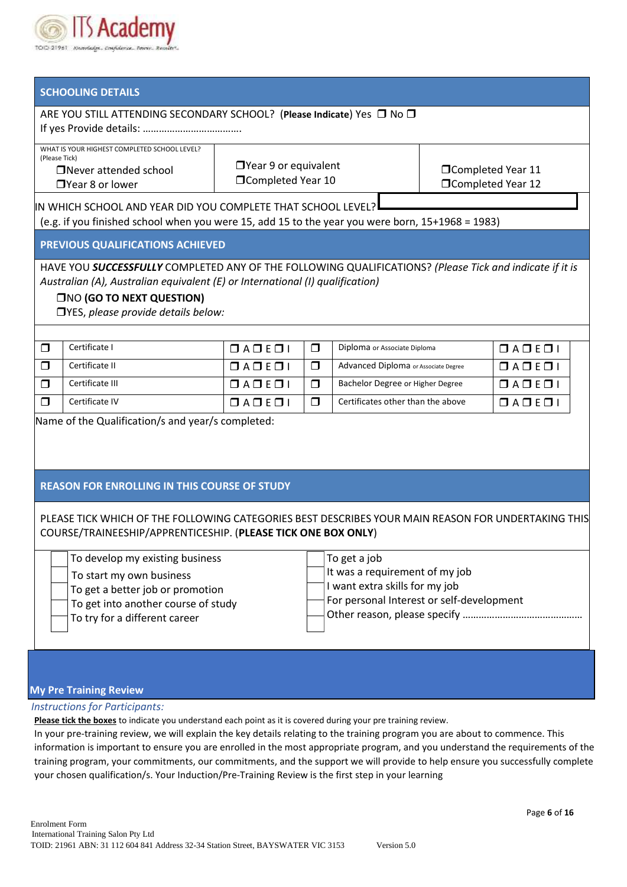

## **SCHOOLING DETAILS**

| JUNUULIIVU DE IMILJ                                                                                                                                                                                                                                                 |                                                                                                                                                                                                                    |                            |        |                                      |  |                        |  |  |  |
|---------------------------------------------------------------------------------------------------------------------------------------------------------------------------------------------------------------------------------------------------------------------|--------------------------------------------------------------------------------------------------------------------------------------------------------------------------------------------------------------------|----------------------------|--------|--------------------------------------|--|------------------------|--|--|--|
| ARE YOU STILL ATTENDING SECONDARY SCHOOL? (Please Indicate) Yes □ No □                                                                                                                                                                                              |                                                                                                                                                                                                                    |                            |        |                                      |  |                        |  |  |  |
|                                                                                                                                                                                                                                                                     | WHAT IS YOUR HIGHEST COMPLETED SCHOOL LEVEL?<br>(Please Tick)<br>$\Box$ Year 9 or equivalent<br>□Completed Year 11<br>□Never attended school<br>□Completed Year 10<br>□Completed Year 12<br>$\Box$ Year 8 or lower |                            |        |                                      |  |                        |  |  |  |
| IN WHICH SCHOOL AND YEAR DID YOU COMPLETE THAT SCHOOL LEVEL?<br>(e.g. if you finished school when you were 15, add 15 to the year you were born, 15+1968 = 1983)                                                                                                    |                                                                                                                                                                                                                    |                            |        |                                      |  |                        |  |  |  |
|                                                                                                                                                                                                                                                                     | PREVIOUS QUALIFICATIONS ACHIEVED                                                                                                                                                                                   |                            |        |                                      |  |                        |  |  |  |
| HAVE YOU SUCCESSFULLY COMPLETED ANY OF THE FOLLOWING QUALIFICATIONS? (Please Tick and indicate if it is<br>Australian (A), Australian equivalent (E) or International (I) qualification)<br><b>THO (GO TO NEXT QUESTION)</b><br>□YES, please provide details below: |                                                                                                                                                                                                                    |                            |        |                                      |  |                        |  |  |  |
| $\Box$                                                                                                                                                                                                                                                              | Certificate I                                                                                                                                                                                                      | $\Box A \Box E \Box I$     | $\Box$ | Diploma or Associate Diploma         |  | $\Box A \Box E \Box I$ |  |  |  |
| ⊓                                                                                                                                                                                                                                                                   | Certificate II                                                                                                                                                                                                     | $\Box A \Box E \Box I$     | $\Box$ | Advanced Diploma or Associate Degree |  | $\Box A \Box E \Box I$ |  |  |  |
| $\Box$                                                                                                                                                                                                                                                              | Certificate III                                                                                                                                                                                                    | $\Box$ A $\Box$ E $\Box$ I | $\Box$ | Bachelor Degree or Higher Degree     |  | $\Box A \Box E \Box I$ |  |  |  |
| $\Box$                                                                                                                                                                                                                                                              | Certificate IV                                                                                                                                                                                                     | $\Box A \Box E \Box I$     | $\Box$ | Certificates other than the above    |  | $\Box A \Box E \Box 1$ |  |  |  |
|                                                                                                                                                                                                                                                                     | Name of the Qualification/s and year/s completed:                                                                                                                                                                  |                            |        |                                      |  |                        |  |  |  |

#### **REASON FOR ENROLLING IN THIS COURSE OF STUDY**

PLEASE TICK WHICH OF THE FOLLOWING CATEGORIES BEST DESCRIBES YOUR MAIN REASON FOR UNDERTAKING THIS COURSE/TRAINEESHIP/APPRENTICESHIP. (**PLEASE TICK ONE BOX ONLY**)

To develop my existing business

To start my own business

To get a better job or promotion

To get into another course of study

To try for a different career

| To get a job                                        |
|-----------------------------------------------------|
| It was a requirement of my job                      |
| $\exists$ I want extra skills for my job            |
| $\exists$ For personal Interest or self-development |
|                                                     |
|                                                     |

#### **My Pre Training Review**

#### *Instructions for Participants:*

**Please tick the boxes** to indicate you understand each point as it is covered during your pre training review.

In your pre-training review, we will explain the key details relating to the training program you are about to commence. This information is important to ensure you are enrolled in the most appropriate program, and you understand the requirements of the training program, your commitments, our commitments, and the support we will provide to help ensure you successfully complete your chosen qualification/s. Your Induction/Pre-Training Review is the first step in your learning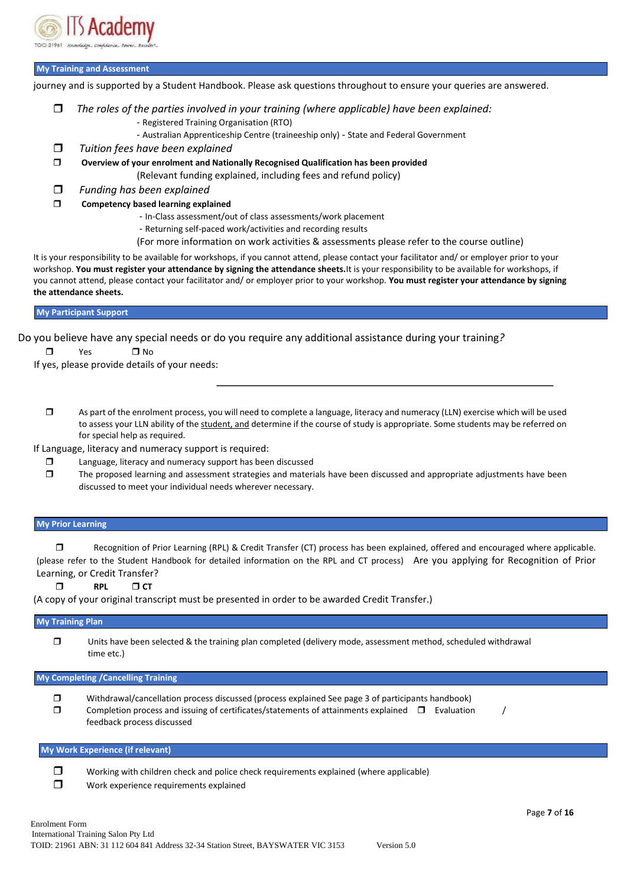

#### **My Training and Assessment**

journey and is supported by a Student Handbook. Please ask questions throughout to ensure your queries are answered.

- *The roles of the parties involved in your training (where applicable) have been explained:*
	- Registered Training Organisation (RTO)
	- Australian Apprenticeship Centre (traineeship only) State and Federal Government
- *Tuition fees have been explained*
- **Overview of your enrolment and Nationally Recognised Qualification has been provided**

(Relevant funding explained, including fees and refund policy)

- *Funding has been explained*
- **Competency based learning explained**
	- In-Class assessment/out of class assessments/work placement
	- Returning self-paced work/activities and recording results
	- (For more information on work activities & assessments please refer to the course outline)

It is your responsibility to be available for workshops, if you cannot attend, please contact your facilitator and/ or employer prior to your workshop. **You must register your attendance by signing the attendance sheets.**It is your responsibility to be available for workshops, if you cannot attend, please contact your facilitator and/ or employer prior to your workshop. **You must register your attendance by signing the attendance sheets.**

#### **My Participant Support**

Do you believe have any special needs or do you require any additional assistance during your training*?*

 $\Box$  Yes  $\Box$  No

If yes, please provide details of your needs: .

 As part of the enrolment process, you will need to complete a language, literacy and numeracy (LLN) exercise which will be used to assess your LLN ability of the student, and determine if the course of study is appropriate. Some students may be referred on for special help as required.

If Language, literacy and numeracy support is required:

- □ Language, literacy and numeracy support has been discussed
- The proposed learning and assessment strategies and materials have been discussed and appropriate adjustments have been discussed to meet your individual needs wherever necessary.

#### **My Prior Learning**

 Recognition of Prior Learning (RPL) & Credit Transfer (CT) process has been explained, offered and encouraged where applicable. (please refer to the Student Handbook for detailed information on the RPL and CT process) Are you applying for Recognition of Prior Learning, or Credit Transfer?

 $\Box$  RPL  $\Box$  CT

(A copy of your original transcript must be presented in order to be awarded Credit Transfer.)

#### **My Training Plan**

 Units have been selected & the training plan completed (delivery mode, assessment method, scheduled withdrawal time etc.)

#### **My Completing /Cancelling Training**

 Withdrawal/cancellation process discussed (process explained See page 3 of participants handbook)  $\square$  Completion process and issuing of certificates/statements of attainments explained  $\square$  Evaluation feedback process discussed

#### **My Work Experience (if relevant)**

- $\square$  Working with children check and police check requirements explained (where applicable)
- **T** Work experience requirements explained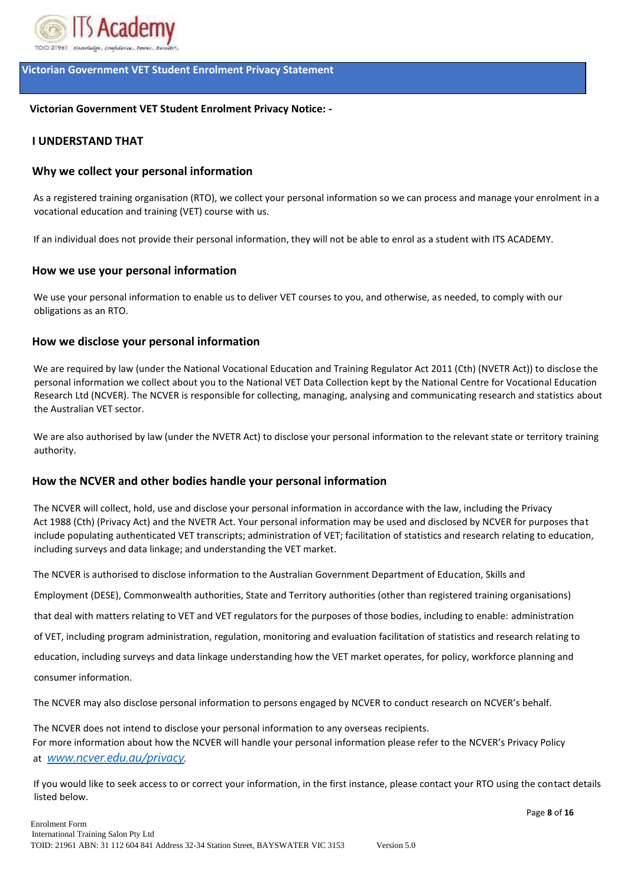

## **Victorian Government VET Student Enrolment Privacy Statement**

## **Victorian Government VET Student Enrolment Privacy Notice: -**

## **I UNDERSTAND THAT**

## **Why we collect your personal information**

As a registered training organisation (RTO), we collect your personal information so we can process and manage your enrolment in a vocational education and training (VET) course with us.

If an individual does not provide their personal information, they will not be able to enrol as a student with ITS ACADEMY.

## **How we use your personal information**

We use your personal information to enable us to deliver VET courses to you, and otherwise, as needed, to comply with our obligations as an RTO.

## **How we disclose your personal information**

We are required by law (under the National Vocational Education and Training Regulator Act 2011 (Cth) (NVETR Act)) to disclose the personal information we collect about you to the National VET Data Collection kept by the National Centre for Vocational Education Research Ltd (NCVER). The NCVER is responsible for collecting, managing, analysing and communicating research and statistics about the Australian VET sector.

We are also authorised by law (under the NVETR Act) to disclose your personal information to the relevant state or territory training authority.

## **How the NCVER and other bodies handle your personal information**

The NCVER will collect, hold, use and disclose your personal information in accordance with the law, including the Privacy Act 1988 (Cth) (Privacy Act) and the NVETR Act. Your personal information may be used and disclosed by NCVER for purposes that include populating authenticated VET transcripts; administration of VET; facilitation of statistics and research relating to education, including surveys and data linkage; and understanding the VET market.

The NCVER is authorised to disclose information to the Australian Government Department of Education, Skills and

Employment (DESE), Commonwealth authorities, State and Territory authorities (other than registered training organisations)

that deal with matters relating to VET and VET regulators for the purposes of those bodies, including to enable: administration

of VET, including program administration, regulation, monitoring and evaluation facilitation of statistics and research relating to

education, including surveys and data linkage understanding how the VET market operates, for policy, workforce planning and

consumer information.

The NCVER may also disclose personal information to persons engaged by NCVER to conduct research on NCVER's behalf.

The NCVER does not intend to disclose your personal information to any overseas recipients. For more information about how the NCVER will handle your personal information please refer to the NCVER's Privacy Policy at *[www.ncver.edu.au/privacy.](http://www.ncver.edu.au/privacy)*

If you would like to seek access to or correct your information, in the first instance, please contact your RTO using the contact details listed below.

Page **8** of **16**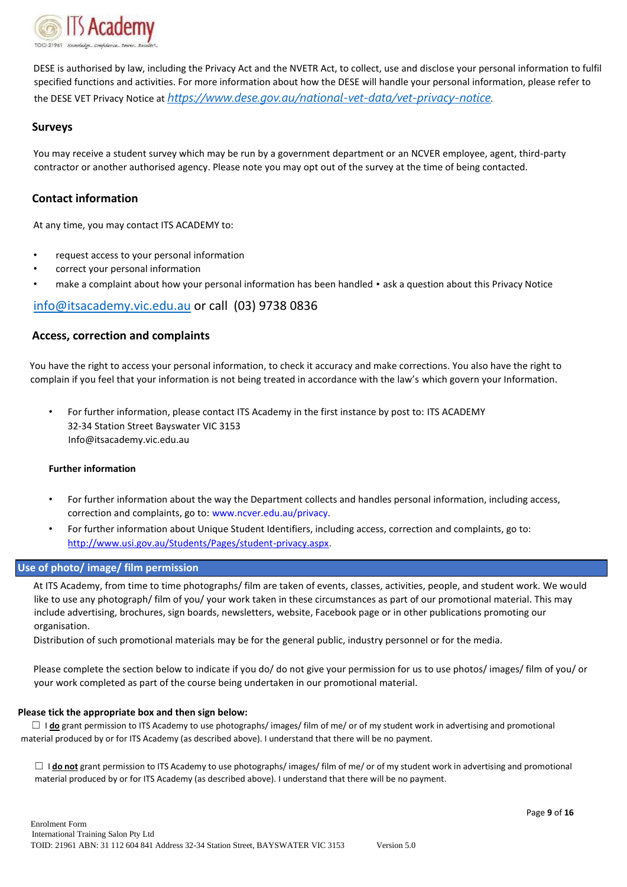

DESE is authorised by law, including the Privacy Act and the NVETR Act, to collect, use and disclose your personal information to fulfil specified functions and activities. For more information about how the DESE will handle your personal information, please refer to the DESE VET Privacy Notice at *[https://www.dese.gov.au/national-vet-data/vet-privacy-notice.](https://www.dese.gov.au/national-vet-data/vet-privacy-notice)*

#### **Surveys**

You may receive a student survey which may be run by a government department or an NCVER employee, agent, third-party contractor or another authorised agency. Please note you may opt out of the survey at the time of being contacted.

#### **Contact information**

At any time, you may contact ITS ACADEMY to:

- request access to your personal information
- correct your personal information
- make a complaint about how your personal information has been handled ask a question about this Privacy Notice

#### info@itsacademy.vic.edu.au or call (03) 9738 0836

#### **Access, correction and complaints**

You have the right to access your personal information, to check it accuracy and make corrections. You also have the right to complain if you feel that your information is not being treated in accordance with the law's which govern your Information.

• For further information, please contact ITS Academy in the first instance by post to: ITS ACADEMY 32-34 Station Street Bayswater VIC 3153 Info@itsacademy.vic.edu.au

#### **Further information**

- For further information about the way the Department collects and handles personal information, including access, correction and complaints, go to: www.ncver.edu.au/privacy.
- For further information about Unique Student Identifiers, including access, correction and complaints, go to[:](http://www.usi.gov.au/Students/Pages/student-privacy.aspx) [http://www.usi.gov.au/Students/Pages/student-privacy.aspx.](http://www.usi.gov.au/Students/Pages/student-privacy.aspx)

#### **Use of photo/ image/ film permission**

At ITS Academy, from time to time photographs/ film are taken of events, classes, activities, people, and student work. We would like to use any photograph/ film of you/ your work taken in these circumstances as part of our promotional material. This may include advertising, brochures, sign boards, newsletters, website, Facebook page or in other publications promoting our organisation.

Distribution of such promotional materials may be for the general public, industry personnel or for the media.

Please complete the section below to indicate if you do/ do not give your permission for us to use photos/ images/ film of you/ or your work completed as part of the course being undertaken in our promotional material.

#### **Please tick the appropriate box and then sign below:**

□ I **do** grant permission to ITS Academy to use photographs/ images/ film of me/ or of my student work in advertising and promotional material produced by or for ITS Academy (as described above). I understand that there will be no payment.

☐ I **do not** grant permission to ITS Academy to use photographs/ images/ film of me/ or of my student work in advertising and promotional material produced by or for ITS Academy (as described above). I understand that there will be no payment.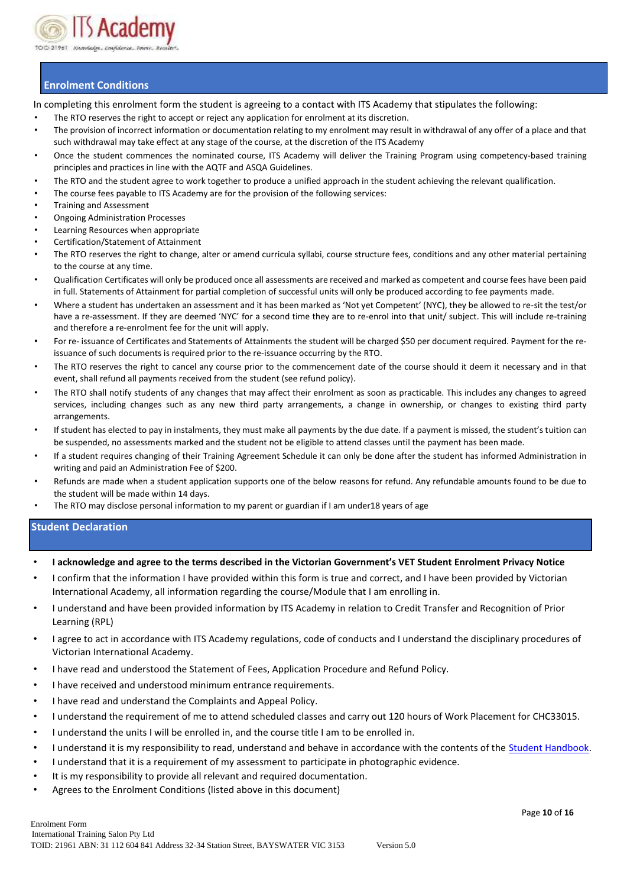

## **Enrolment Conditions**

In completing this enrolment form the student is agreeing to a contact with ITS Academy that stipulates the following:

- The RTO reserves the right to accept or reject any application for enrolment at its discretion.
- The provision of incorrect information or documentation relating to my enrolment may result in withdrawal of any offer of a place and that such withdrawal may take effect at any stage of the course, at the discretion of the ITS Academy
- Once the student commences the nominated course, ITS Academy will deliver the Training Program using competency-based training principles and practices in line with the AQTF and ASQA Guidelines.
- The RTO and the student agree to work together to produce a unified approach in the student achieving the relevant qualification.
- The course fees payable to ITS Academy are for the provision of the following services:
- Training and Assessment
- Ongoing Administration Processes
- Learning Resources when appropriate
- Certification/Statement of Attainment
- The RTO reserves the right to change, alter or amend curricula syllabi, course structure fees, conditions and any other material pertaining to the course at any time.
- Qualification Certificates will only be produced once all assessments are received and marked as competent and course fees have been paid in full. Statements of Attainment for partial completion of successful units will only be produced according to fee payments made.
- Where a student has undertaken an assessment and it has been marked as 'Not yet Competent' (NYC), they be allowed to re-sit the test/or have a re-assessment. If they are deemed 'NYC' for a second time they are to re-enrol into that unit/ subject. This will include re-training and therefore a re-enrolment fee for the unit will apply.
- For re- issuance of Certificates and Statements of Attainments the student will be charged \$50 per document required. Payment for the reissuance of such documents is required prior to the re-issuance occurring by the RTO.
- The RTO reserves the right to cancel any course prior to the commencement date of the course should it deem it necessary and in that event, shall refund all payments received from the student (see refund policy).
- The RTO shall notify students of any changes that may affect their enrolment as soon as practicable. This includes any changes to agreed services, including changes such as any new third party arrangements, a change in ownership, or changes to existing third party arrangements.
- If student has elected to pay in instalments, they must make all payments by the due date. If a payment is missed, the student's tuition can be suspended, no assessments marked and the student not be eligible to attend classes until the payment has been made.
- If a student requires changing of their Training Agreement Schedule it can only be done after the student has informed Administration in writing and paid an Administration Fee of \$200.
- Refunds are made when a student application supports one of the below reasons for refund. Any refundable amounts found to be due to the student will be made within 14 days.
- The RTO may disclose personal information to my parent or guardian if I am under18 years of age

#### **Student Declaration**

- **I acknowledge and agree to the terms described in the Victorian Government's VET Student Enrolment Privacy Notice**
- I confirm that the information I have provided within this form is true and correct, and I have been provided by Victorian International Academy, all information regarding the course/Module that I am enrolling in.
- I understand and have been provided information by ITS Academy in relation to Credit Transfer and Recognition of Prior Learning (RPL)
- I agree to act in accordance with ITS Academy regulations, code of conducts and I understand the disciplinary procedures of Victorian International Academy.
- I have read and understood the Statement of Fees, Application Procedure and Refund Policy.
- I have received and understood minimum entrance requirements.
- I have read and understand the Complaints and Appeal Policy.
- I understand the requirement of me to attend scheduled classes and carry out 120 hours of Work Placement for CHC33015.
- I understand the units I will be enrolled in, and the course title I am to be enrolled in.
- I understand it is my responsibility to read, understand and behave in accordance with the contents of the Student Handbook.
- I understand that it is a requirement of my assessment to participate in photographic evidence.
- It is my responsibility to provide all relevant and required documentation.
- Agrees to the Enrolment Conditions (listed above in this document)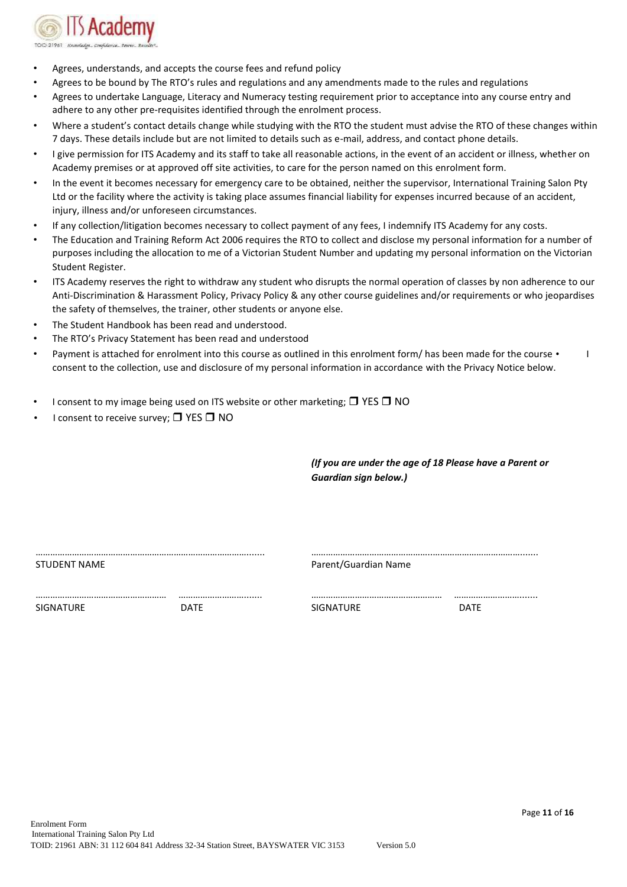

- Agrees, understands, and accepts the course fees and refund policy
- Agrees to be bound by The RTO's rules and regulations and any amendments made to the rules and regulations
- Agrees to undertake Language, Literacy and Numeracy testing requirement prior to acceptance into any course entry and adhere to any other pre-requisites identified through the enrolment process.
- Where a student's contact details change while studying with the RTO the student must advise the RTO of these changes within 7 days. These details include but are not limited to details such as e-mail, address, and contact phone details.
- I give permission for ITS Academy and its staff to take all reasonable actions, in the event of an accident or illness, whether on Academy premises or at approved off site activities, to care for the person named on this enrolment form.
- In the event it becomes necessary for emergency care to be obtained, neither the supervisor, International Training Salon Pty Ltd or the facility where the activity is taking place assumes financial liability for expenses incurred because of an accident, injury, illness and/or unforeseen circumstances.
- If any collection/litigation becomes necessary to collect payment of any fees, I indemnify ITS Academy for any costs.
- The Education and Training Reform Act 2006 requires the RTO to collect and disclose my personal information for a number of purposes including the allocation to me of a Victorian Student Number and updating my personal information on the Victorian Student Register.
- ITS Academy reserves the right to withdraw any student who disrupts the normal operation of classes by non adherence to our Anti-Discrimination & Harassment Policy, Privacy Policy & any other course guidelines and/or requirements or who jeopardises the safety of themselves, the trainer, other students or anyone else.
- The Student Handbook has been read and understood.
- The RTO's Privacy Statement has been read and understood
- Payment is attached for enrolment into this course as outlined in this enrolment form/ has been made for the course  $\cdot$ consent to the collection, use and disclosure of my personal information in accordance with the Privacy Notice below.
- I consent to my image being used on ITS website or other marketing;  $\Box$  YES  $\Box$  NO
- I consent to receive survey;  $\Box$  YES  $\Box$  NO

*(If you are under the age of 18 Please have a Parent or Guardian sign below.)* 

| STUDENT NAME     |             | Parent/Guardian Name |             |  |
|------------------|-------------|----------------------|-------------|--|
|                  |             |                      |             |  |
| <b>SIGNATURE</b> | <b>DATE</b> | SIGNATURE            | <b>DATE</b> |  |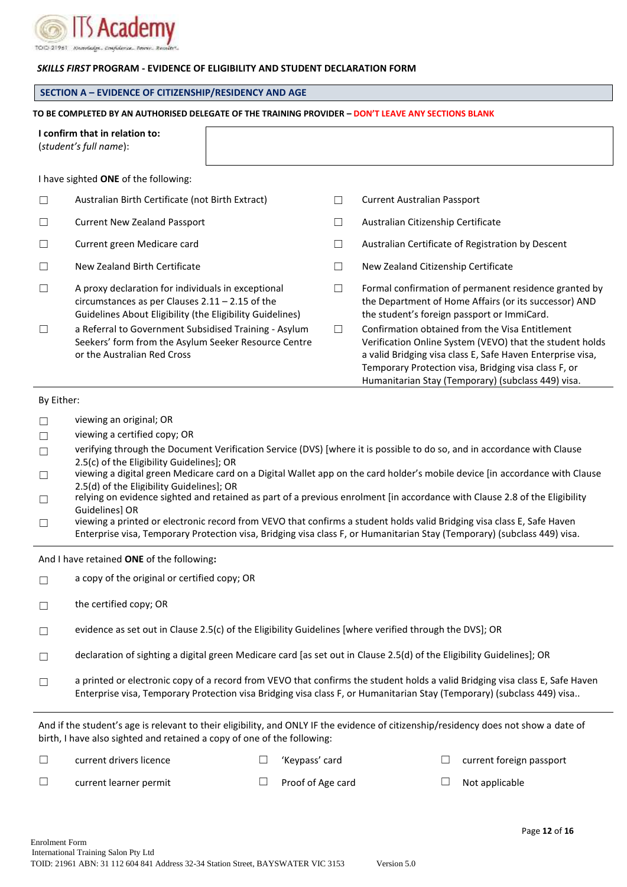

#### *SKILLS FIRST* **PROGRAM - EVIDENCE OF ELIGIBILITY AND STUDENT DECLARATION FORM**

#### **SECTION A – EVIDENCE OF CITIZENSHIP/RESIDENCY AND AGE**

#### **TO BE COMPLETED BY AN AUTHORISED DELEGATE OF THE TRAINING PROVIDER – DON'T LEAVE ANY SECTIONS BLANK I confirm that in relation to:**  (*student's full name*): I have sighted **ONE** of the following: ☐ Australian Birth Certificate (not Birth Extract) ☐ Current Australian Passport ☐ Current New Zealand Passport ☐ Australian Citizenship Certificate ☐ Current green Medicare card ☐ Australian Certificate of Registration by Descent ☐ New Zealand Birth Certificate ☐ New Zealand Citizenship Certificate  $\Box$  A proxy declaration for individuals in exceptional circumstances as per Clauses 2.11 – 2.15 of the Guidelines About Eligibility (the Eligibility Guidelines)  $\Box$  Formal confirmation of permanent residence granted by the Department of Home Affairs (or its successor) AND the student's foreign passport or ImmiCard. ☐ a Referral to Government Subsidised Training - Asylum Seekers' form from the Asylum Seeker Resource Centre or the Australian Red Cross □ Confirmation obtained from the Visa Entitlement Verification Online System (VEVO) that the student holds a valid Bridging visa class E, Safe Haven Enterprise visa, Temporary Protection visa, Bridging visa class F, or

#### By Either:

- ☐ viewing an original; OR
- ☐ viewing a certified copy; OR
- □ verifying through the Document Verification Service (DVS) [where it is possible to do so, and in accordance with Clause 2.5(c) of the Eligibility Guidelines]; OR
- ☐ viewing a digital green Medicare card on a Digital Wallet app on the card holder's mobile device [in accordance with Clause 2.5(d) of the Eligibility Guidelines]; OR
- □ relying on evidence sighted and retained as part of a previous enrolment [in accordance with Clause 2.8 of the Eligibility Guidelines] OR
- $\Box$  viewing a printed or electronic record from VEVO that confirms a student holds valid Bridging visa class E, Safe Haven Enterprise visa, Temporary Protection visa, Bridging visa class F, or Humanitarian Stay (Temporary) (subclass 449) visa.

And I have retained **ONE** of the following**:**

- $\Box$  a copy of the original or certified copy; OR
- ☐ the certified copy; OR
- $\Box$  evidence as set out in Clause 2.5(c) of the Eligibility Guidelines [where verified through the DVS]; OR
- declaration of sighting a digital green Medicare card [as set out in Clause 2.5(d) of the Eligibility Guidelines]; OR
- □ a printed or electronic copy of a record from VEVO that confirms the student holds a valid Bridging visa class E, Safe Haven Enterprise visa, Temporary Protection visa Bridging visa class F, or Humanitarian Stay (Temporary) (subclass 449) visa..

And if the student's age is relevant to their eligibility, and ONLY IF the evidence of citizenship/residency does not show a date of birth, I have also sighted and retained a copy of one of the following:

☐ current drivers licence ☐ 'Keypass' card ☐ current foreign passport

Page **12** of **16**

☐ current learner permit ☐ Proof of Age card ☐ Not applicable

Humanitarian Stay (Temporary) (subclass 449) visa.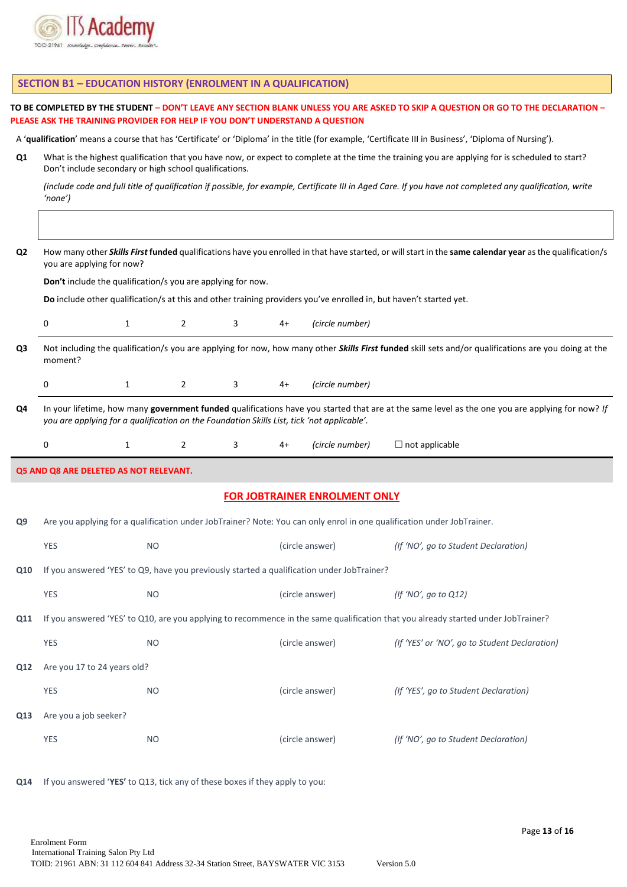

**SECTION B1 – EDUCATION HISTORY (ENROLMENT IN A QUALIFICATION)**

|                                                                                                                                                                                                         | PLEASE ASK THE TRAINING PROVIDER FOR HELP IF YOU DON'T UNDERSTAND A QUESTION                                                                                                                              |              |                |   |      |                                                                                            | TO BE COMPLETED BY THE STUDENT – DON'T LEAVE ANY SECTION BLANK UNLESS YOU ARE ASKED TO SKIP A QUESTION OR GO TO THE DECLARATION –                        |  |  |
|---------------------------------------------------------------------------------------------------------------------------------------------------------------------------------------------------------|-----------------------------------------------------------------------------------------------------------------------------------------------------------------------------------------------------------|--------------|----------------|---|------|--------------------------------------------------------------------------------------------|----------------------------------------------------------------------------------------------------------------------------------------------------------|--|--|
|                                                                                                                                                                                                         |                                                                                                                                                                                                           |              |                |   |      |                                                                                            | A 'qualification' means a course that has 'Certificate' or 'Diploma' in the title (for example, 'Certificate III in Business', 'Diploma of Nursing').    |  |  |
| Q1                                                                                                                                                                                                      | What is the highest qualification that you have now, or expect to complete at the time the training you are applying for is scheduled to start?<br>Don't include secondary or high school qualifications. |              |                |   |      |                                                                                            |                                                                                                                                                          |  |  |
|                                                                                                                                                                                                         | 'none')                                                                                                                                                                                                   |              |                |   |      |                                                                                            | (include code and full title of qualification if possible, for example, Certificate III in Aged Care. If you have not completed any qualification, write |  |  |
|                                                                                                                                                                                                         |                                                                                                                                                                                                           |              |                |   |      |                                                                                            |                                                                                                                                                          |  |  |
| Q <sub>2</sub><br>How many other Skills First funded qualifications have you enrolled in that have started, or will start in the same calendar year as the qualification/s<br>you are applying for now? |                                                                                                                                                                                                           |              |                |   |      |                                                                                            |                                                                                                                                                          |  |  |
| Don't include the qualification/s you are applying for now.                                                                                                                                             |                                                                                                                                                                                                           |              |                |   |      |                                                                                            |                                                                                                                                                          |  |  |
|                                                                                                                                                                                                         | Do include other qualification/s at this and other training providers you've enrolled in, but haven't started yet.                                                                                        |              |                |   |      |                                                                                            |                                                                                                                                                          |  |  |
|                                                                                                                                                                                                         | 0                                                                                                                                                                                                         | $\mathbf{1}$ | $\overline{2}$ | 3 | $4+$ | (circle number)                                                                            |                                                                                                                                                          |  |  |
| Q3                                                                                                                                                                                                      | moment?                                                                                                                                                                                                   |              |                |   |      |                                                                                            | Not including the qualification/s you are applying for now, how many other Skills First funded skill sets and/or qualifications are you doing at the     |  |  |
|                                                                                                                                                                                                         | 0                                                                                                                                                                                                         | $\mathbf{1}$ | $\mathbf{2}$   | 3 | $4+$ | (circle number)                                                                            |                                                                                                                                                          |  |  |
| Q4                                                                                                                                                                                                      | you are applying for a qualification on the Foundation Skills List, tick 'not applicable'.                                                                                                                |              |                |   |      |                                                                                            | In your lifetime, how many government funded qualifications have you started that are at the same level as the one you are applying for now? If          |  |  |
|                                                                                                                                                                                                         | 0                                                                                                                                                                                                         | $\mathbf{1}$ | $\overline{2}$ | 3 | $4+$ | (circle number)                                                                            | $\Box$ not applicable                                                                                                                                    |  |  |
|                                                                                                                                                                                                         | Q5 AND Q8 ARE DELETED AS NOT RELEVANT.                                                                                                                                                                    |              |                |   |      |                                                                                            |                                                                                                                                                          |  |  |
|                                                                                                                                                                                                         |                                                                                                                                                                                                           |              |                |   |      | <b>FOR JOBTRAINER ENROLMENT ONLY</b>                                                       |                                                                                                                                                          |  |  |
| Q9                                                                                                                                                                                                      |                                                                                                                                                                                                           |              |                |   |      |                                                                                            | Are you applying for a qualification under JobTrainer? Note: You can only enrol in one qualification under JobTrainer.                                   |  |  |
|                                                                                                                                                                                                         | <b>YES</b>                                                                                                                                                                                                | <b>NO</b>    |                |   |      | (circle answer)                                                                            | (If 'NO', go to Student Declaration)                                                                                                                     |  |  |
| Q10                                                                                                                                                                                                     |                                                                                                                                                                                                           |              |                |   |      | If you answered 'YES' to Q9, have you previously started a qualification under JobTrainer? |                                                                                                                                                          |  |  |
|                                                                                                                                                                                                         | <b>YES</b>                                                                                                                                                                                                | <b>NO</b>    |                |   |      | (circle answer)                                                                            | (If 'NO', go to Q12)                                                                                                                                     |  |  |
| Q11                                                                                                                                                                                                     |                                                                                                                                                                                                           |              |                |   |      |                                                                                            | If you answered 'YES' to Q10, are you applying to recommence in the same qualification that you already started under JobTrainer?                        |  |  |
|                                                                                                                                                                                                         | <b>YES</b>                                                                                                                                                                                                | <b>NO</b>    |                |   |      | (circle answer)                                                                            | (If 'YES' or 'NO', go to Student Declaration)                                                                                                            |  |  |
| Q12                                                                                                                                                                                                     | Are you 17 to 24 years old?                                                                                                                                                                               |              |                |   |      |                                                                                            |                                                                                                                                                          |  |  |
|                                                                                                                                                                                                         | <b>YES</b>                                                                                                                                                                                                | <b>NO</b>    |                |   |      | (circle answer)                                                                            | (If 'YES', go to Student Declaration)                                                                                                                    |  |  |
| Q13                                                                                                                                                                                                     | Are you a job seeker?                                                                                                                                                                                     |              |                |   |      |                                                                                            |                                                                                                                                                          |  |  |
|                                                                                                                                                                                                         |                                                                                                                                                                                                           |              |                |   |      |                                                                                            |                                                                                                                                                          |  |  |
|                                                                                                                                                                                                         | <b>YES</b>                                                                                                                                                                                                | <b>NO</b>    |                |   |      | (circle answer)                                                                            | (If 'NO', go to Student Declaration)                                                                                                                     |  |  |
| Q14                                                                                                                                                                                                     | If you answered 'YES' to Q13, tick any of these boxes if they apply to you:                                                                                                                               |              |                |   |      |                                                                                            |                                                                                                                                                          |  |  |

Page **13** of **16**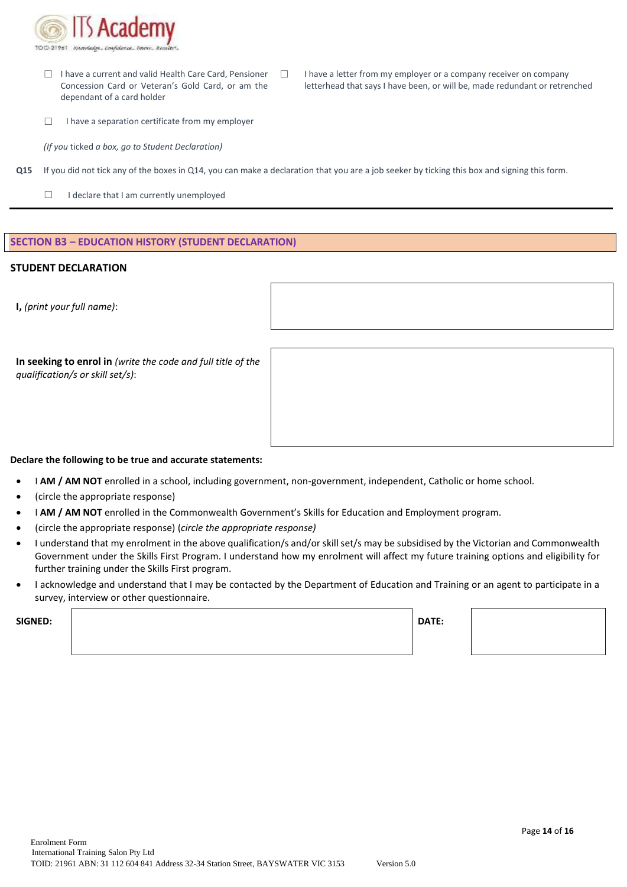

- ☐ I have a current and valid Health Care Card, Pensioner Concession Card or Veteran's Gold Card, or am the dependant of a card holder
- ☐ I have a letter from my employer or a company receiver on company letterhead that says I have been, or will be, made redundant or retrenched
- ☐ I have a separation certificate from my employer

*(If you* ticked *a box, go to Student Declaration)*

- **Q15** If you did not tick any of the boxes in Q14, you can make a declaration that you are a job seeker by ticking this box and signing this form.
	- □ I declare that I am currently unemployed

#### **SECTION B3 – EDUCATION HISTORY (STUDENT DECLARATION)**

#### **STUDENT DECLARATION**

**I,** *(print your full name)*:

**In seeking to enrol in** *(write the code and full title of the qualification/s or skill set/s)*:

#### **Declare the following to be true and accurate statements:**

- I **AM / AM NOT** enrolled in a school, including government, non-government, independent, Catholic or home school.
- (circle the appropriate response)
- I **AM / AM NOT** enrolled in the Commonwealth Government's Skills for Education and Employment program.
- (circle the appropriate response) (*circle the appropriate response)*
- I understand that my enrolment in the above qualification/s and/or skill set/s may be subsidised by the Victorian and Commonwealth Government under the Skills First Program. I understand how my enrolment will affect my future training options and eligibility for further training under the Skills First program.
- I acknowledge and understand that I may be contacted by the Department of Education and Training or an agent to participate in a survey, interview or other questionnaire.

**SIGNED: DATE:**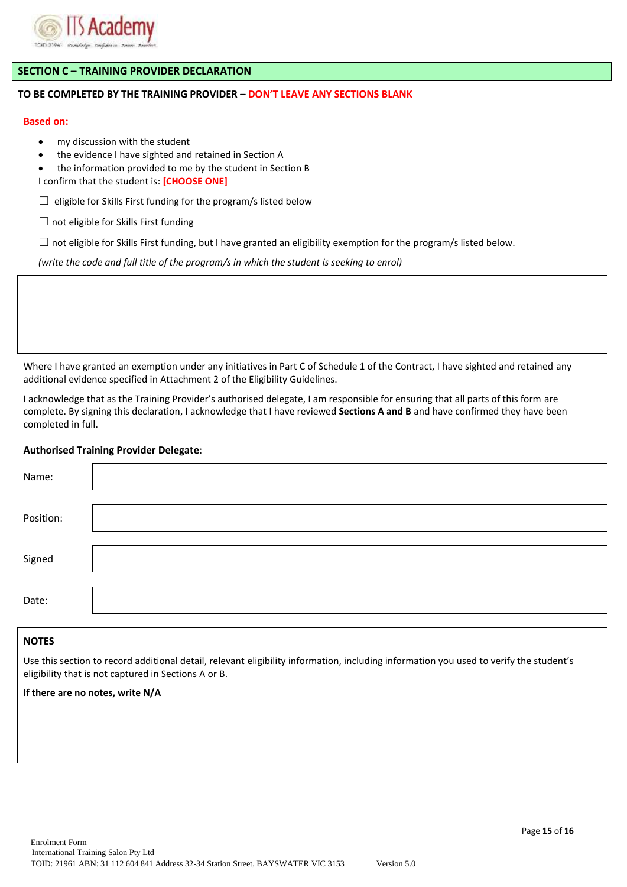

#### **SECTION C – TRAINING PROVIDER DECLARATION**

#### **TO BE COMPLETED BY THE TRAINING PROVIDER – DON'T LEAVE ANY SECTIONS BLANK**

#### **Based on:**

- my discussion with the student
- the evidence I have sighted and retained in Section A
- the information provided to me by the student in Section B
- I confirm that the student is: **[CHOOSE ONE]**
- $\Box$  eligible for Skills First funding for the program/s listed below
- $\Box$  not eligible for Skills First funding
- $\Box$  not eligible for Skills First funding, but I have granted an eligibility exemption for the program/s listed below.

*(write the code and full title of the program/s in which the student is seeking to enrol)*

Where I have granted an exemption under any initiatives in Part C of Schedule 1 of the Contract, I have sighted and retained any additional evidence specified in Attachment 2 of the Eligibility Guidelines.

I acknowledge that as the Training Provider's authorised delegate, I am responsible for ensuring that all parts of this form are complete. By signing this declaration, I acknowledge that I have reviewed **Sections A and B** and have confirmed they have been completed in full.

#### **Authorised Training Provider Delegate**:

| Name:     |  |
|-----------|--|
| Position: |  |
|           |  |
| Signed    |  |
| Date:     |  |

#### **NOTES**

Use this section to record additional detail, relevant eligibility information, including information you used to verify the student's eligibility that is not captured in Sections A or B.

#### **If there are no notes, write N/A**